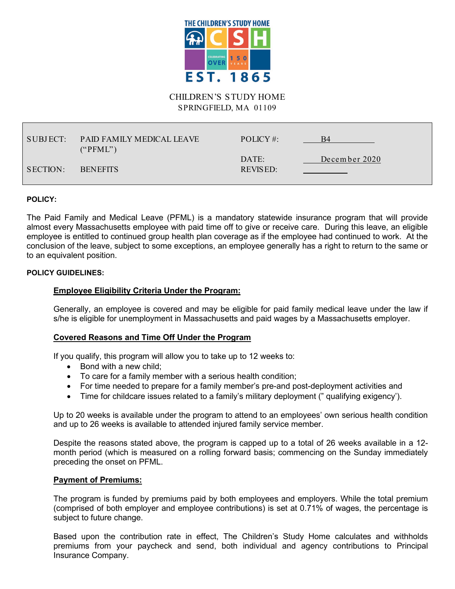

### CHILDREN'S STUDY HOME SPRINGFIELD, MA 01109

| SUBJECT: | <b>PAID FAMILY MEDICAL LEAVE</b><br>("PFML") | POLICY #:         | B4            |
|----------|----------------------------------------------|-------------------|---------------|
| SECTION: | <b>BENEFITS</b>                              | DATE:<br>REVISED: | December 2020 |

#### **POLICY:**

The Paid Family and Medical Leave (PFML) is a mandatory statewide insurance program that will provide almost every Massachusetts employee with paid time off to give or receive care. During this leave, an eligible employee is entitled to continued group health plan coverage as if the employee had continued to work. At the conclusion of the leave, subject to some exceptions, an employee generally has a right to return to the same or to an equivalent position.

#### **POLICY GUIDELINES:**

## **Employee Eligibility Criteria Under the Program:**

Generally, an employee is covered and may be eligible for paid family medical leave under the law if s/he is eligible for unemployment in Massachusetts and paid wages by a Massachusetts employer.

### **Covered Reasons and Time Off Under the Program**

If you qualify, this program will allow you to take up to 12 weeks to:

- Bond with a new child:
- To care for a family member with a serious health condition;
- For time needed to prepare for a family member's pre-and post-deployment activities and
- Time for childcare issues related to a family's military deployment (" qualifying exigency').

Up to 20 weeks is available under the program to attend to an employees' own serious health condition and up to 26 weeks is available to attended injured family service member.

Despite the reasons stated above, the program is capped up to a total of 26 weeks available in a 12 month period (which is measured on a rolling forward basis; commencing on the Sunday immediately preceding the onset on PFML.

### **Payment of Premiums:**

The program is funded by premiums paid by both employees and employers. While the total premium (comprised of both employer and employee contributions) is set at 0.71% of wages, the percentage is subject to future change.

Based upon the contribution rate in effect, The Children's Study Home calculates and withholds premiums from your paycheck and send, both individual and agency contributions to Principal Insurance Company.